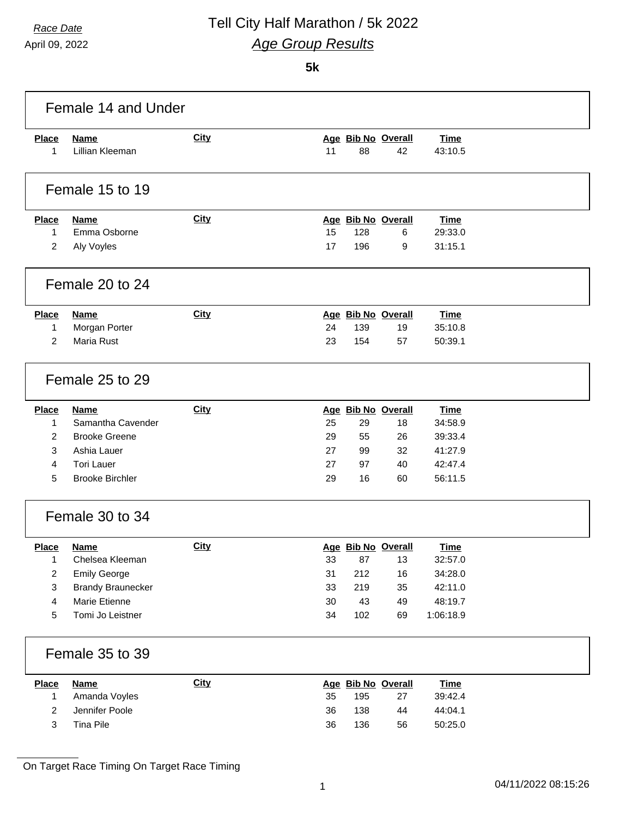April 09, 2022

## *Race Date* Tell City Half Marathon / 5k 2022 *Age Group Results*

**5k**

| Female 14 and Under          |                             |             |    |                           |                    |                        |  |  |
|------------------------------|-----------------------------|-------------|----|---------------------------|--------------------|------------------------|--|--|
| <b>Place</b>                 | <b>Name</b>                 | <b>City</b> |    | Age Bib No Overall        |                    | <b>Time</b>            |  |  |
| 1                            | Lillian Kleeman             |             | 11 | 88                        | 42                 | 43:10.5                |  |  |
|                              |                             |             |    |                           |                    |                        |  |  |
|                              | Female 15 to 19             |             |    |                           |                    |                        |  |  |
|                              |                             |             |    |                           |                    |                        |  |  |
| <b>Place</b><br>$\mathbf{1}$ | <b>Name</b><br>Emma Osborne | <b>City</b> | 15 | Age Bib No Overall<br>128 | 6                  | <b>Time</b><br>29:33.0 |  |  |
| 2                            | Aly Voyles                  |             | 17 | 196                       | 9                  | 31:15.1                |  |  |
|                              |                             |             |    |                           |                    |                        |  |  |
|                              | Female 20 to 24             |             |    |                           |                    |                        |  |  |
| <b>Place</b>                 | <b>Name</b>                 | <b>City</b> |    | Age Bib No Overall        |                    | <b>Time</b>            |  |  |
| 1                            | Morgan Porter               |             | 24 | 139                       | 19                 | 35:10.8                |  |  |
| $\overline{2}$               | Maria Rust                  |             | 23 | 154                       | 57                 | 50:39.1                |  |  |
|                              | Female 25 to 29             |             |    |                           |                    |                        |  |  |
| Place                        | <b>Name</b>                 | <b>City</b> |    | Age Bib No Overall        |                    | <b>Time</b>            |  |  |
| 1                            | Samantha Cavender           |             | 25 | 29                        | 18                 | 34:58.9                |  |  |
| 2                            | <b>Brooke Greene</b>        |             | 29 | 55                        | 26                 | 39:33.4                |  |  |
| 3                            | Ashia Lauer                 |             | 27 | 99                        | 32                 | 41:27.9                |  |  |
| 4                            | <b>Tori Lauer</b>           |             | 27 | 97                        | 40                 | 42:47.4                |  |  |
| 5                            | <b>Brooke Birchler</b>      |             | 29 | 16                        | 60                 | 56:11.5                |  |  |
|                              | Female 30 to 34             |             |    |                           |                    |                        |  |  |
| <b>Place</b>                 | <b>Name</b>                 | <b>City</b> |    | Age Bib No Overall        |                    | Time                   |  |  |
| 1                            | Chelsea Kleeman             |             | 33 | 87                        | 13                 | 32:57.0                |  |  |
| $\overline{2}$               | <b>Emily George</b>         |             | 31 | 212                       | 16                 | 34:28.0                |  |  |
| 3                            | <b>Brandy Braunecker</b>    |             | 33 | 219                       | 35                 | 42:11.0                |  |  |
| 4                            | Marie Etienne               |             | 30 | 43                        | 49                 | 48:19.7                |  |  |
| 5                            | Tomi Jo Leistner            |             | 34 | 102                       | 69                 | 1:06:18.9              |  |  |
|                              | Female 35 to 39             |             |    |                           |                    |                        |  |  |
| <b>Place</b>                 | <b>Name</b>                 | <b>City</b> |    |                           | Age Bib No Overall | <b>Time</b>            |  |  |
| $\mathbf{1}$                 | Amanda Voyles               |             | 35 | 195                       | 27                 | 39:42.4                |  |  |
| $\boldsymbol{2}$             | Jennifer Poole              |             | 36 | 138                       | 44                 | 44:04.1                |  |  |
| 3                            | Tina Pile                   |             | 36 | 136                       | 56                 | 50:25.0                |  |  |
|                              |                             |             |    |                           |                    |                        |  |  |

On Target Race Timing On Target Race Timing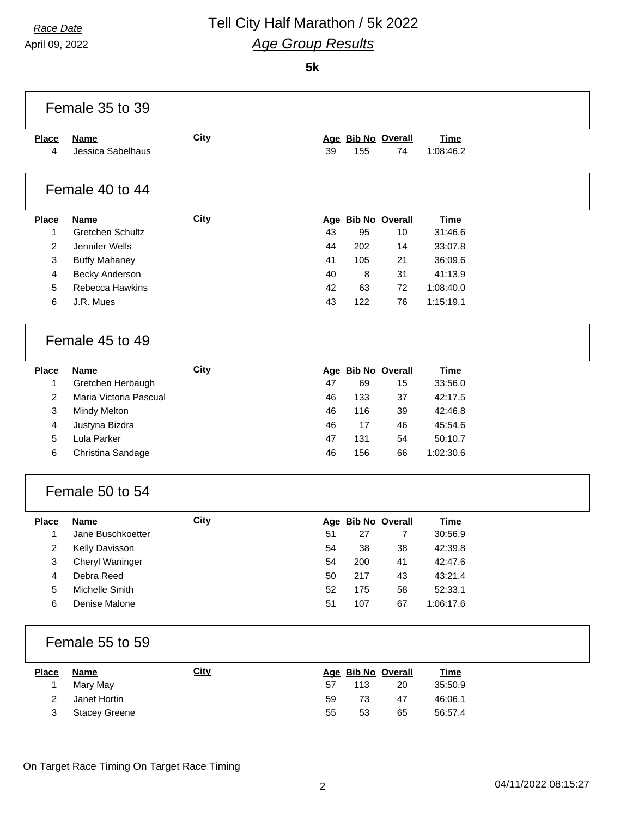# *Race Date* Tell City Half Marathon / 5k 2022 *Age Group Results*

April 09, 2022

#### **5k**

| <b>Place</b>                 | <b>Name</b>                          | <b>City</b> |          |          | Age Bib No Overall | <b>Time</b>        |
|------------------------------|--------------------------------------|-------------|----------|----------|--------------------|--------------------|
| 4                            | Jessica Sabelhaus                    |             | 39       | 155      | 74                 | 1:08:46.2          |
|                              | Female 40 to 44                      |             |          |          |                    |                    |
| <b>Place</b>                 | <b>Name</b>                          | <b>City</b> |          |          | Age Bib No Overall | <b>Time</b>        |
| 1                            | Gretchen Schultz                     |             | 43       | 95       | 10                 | 31:46.6            |
| 2                            | Jennifer Wells                       |             | 44       | 202      | 14                 | 33:07.8            |
| 3                            | <b>Buffy Mahaney</b>                 |             | 41       | 105      | 21                 | 36:09.6            |
| 4                            | Becky Anderson                       |             | 40       | 8        | 31                 | 41:13.9            |
| 5                            | Rebecca Hawkins                      |             | 42       | 63       | 72                 | 1:08:40.0          |
| 6                            | J.R. Mues                            |             | 43       | 122      | 76                 | 1:15:19.1          |
|                              | Female 45 to 49                      |             |          |          |                    |                    |
| <b>Place</b>                 | <b>Name</b>                          | <b>City</b> |          |          | Age Bib No Overall | <b>Time</b>        |
| 1                            | Gretchen Herbaugh                    |             | 47       | 69       | 15                 | 33:56.0            |
| 2                            | Maria Victoria Pascual               |             | 46       | 133      | 37                 | 42:17.5            |
| 3                            | Mindy Melton                         |             | 46       | 116      | 39                 | 42:46.8            |
| 4                            | Justyna Bizdra                       |             | 46       | 17       | 46                 | 45:54.6            |
| 5                            | Lula Parker                          |             | 47       | 131      | 54                 | 50:10.7            |
| 6                            | Christina Sandage                    |             | 46       | 156      | 66                 | 1:02:30.6          |
|                              | Female 50 to 54                      |             |          |          |                    |                    |
| <b>Place</b>                 | <b>Name</b>                          | City        |          |          | Age Bib No Overall | <b>Time</b>        |
| $\mathbf{1}$                 | Jane Buschkoetter                    |             | 51       | 27       | $\overline{7}$     | 30:56.9            |
| 2                            | Kelly Davisson                       |             | 54       | 38       | 38                 | 42:39.8            |
| 3                            | Cheryl Waninger                      |             | 54       | 200      | 41                 | 42:47.6            |
| 4                            | Debra Reed                           |             | 50       | 217      | 43                 | 43:21.4            |
| 5                            | Michelle Smith                       |             | 52       | 175      | 58                 | 52:33.1            |
| 6                            | Denise Malone                        |             | 51       | 107      | 67                 | 1:06:17.6          |
|                              | Female 55 to 59                      |             |          |          |                    |                    |
|                              | <b>Name</b>                          | City        |          |          | Age Bib No Overall | <b>Time</b>        |
| <b>Place</b>                 |                                      |             | 57       | 113      | 20                 | 35:50.9            |
| 1                            | Mary May                             |             |          |          |                    |                    |
| $\overline{2}$<br>$\sqrt{3}$ | Janet Hortin<br><b>Stacey Greene</b> |             | 59<br>55 | 73<br>53 | 47<br>65           | 46:06.1<br>56:57.4 |

On Target Race Timing On Target Race Timing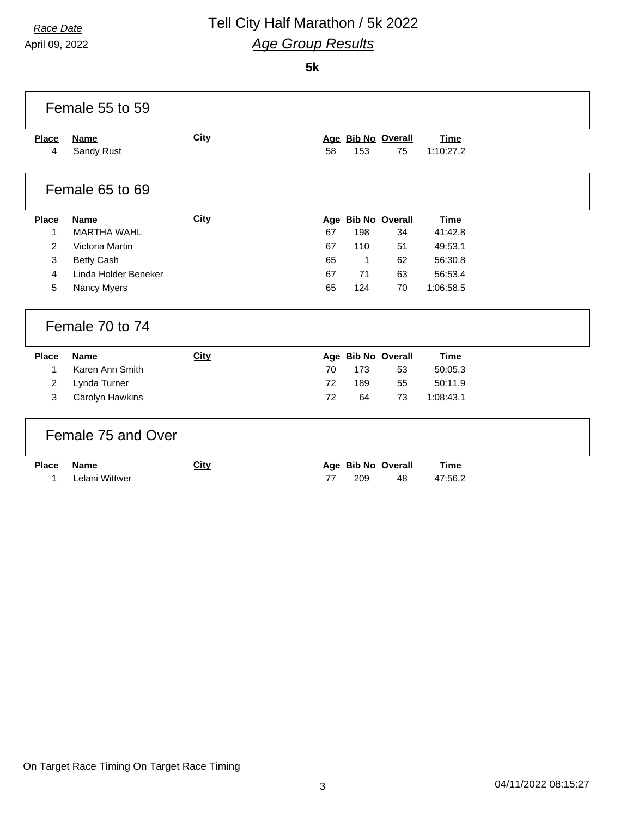# *Race Date* Tell City Half Marathon / 5k 2022 *Age Group Results*

April 09, 2022

#### **5k**

| Female 55 to 59   |                           |             |    |              |                          |                          |  |  |  |
|-------------------|---------------------------|-------------|----|--------------|--------------------------|--------------------------|--|--|--|
| <b>Place</b><br>4 | <b>Name</b><br>Sandy Rust | City        | 58 | 153          | Age Bib No Overall<br>75 | <b>Time</b><br>1:10:27.2 |  |  |  |
|                   | Female 65 to 69           |             |    |              |                          |                          |  |  |  |
| <b>Place</b>      | <b>Name</b>               | <b>City</b> |    |              | Age Bib No Overall       | <b>Time</b>              |  |  |  |
| 1                 | <b>MARTHA WAHL</b>        |             | 67 | 198          | 34                       | 41:42.8                  |  |  |  |
| 2                 | Victoria Martin           |             | 67 | 110          | 51                       | 49:53.1                  |  |  |  |
| 3                 | <b>Betty Cash</b>         |             | 65 | $\mathbf{1}$ | 62                       | 56:30.8                  |  |  |  |
| 4                 | Linda Holder Beneker      |             | 67 | 71           | 63                       | 56:53.4                  |  |  |  |
| 5                 | Nancy Myers               |             | 65 | 124          | 70                       | 1:06:58.5                |  |  |  |
|                   | Female 70 to 74           |             |    |              |                          |                          |  |  |  |
| Place             | <b>Name</b>               | <b>City</b> |    |              | Age Bib No Overall       | <b>Time</b>              |  |  |  |
| 1                 | Karen Ann Smith           |             | 70 | 173          | 53                       | 50:05.3                  |  |  |  |
| $\overline{2}$    | Lynda Turner              |             | 72 | 189          | 55                       | 50:11.9                  |  |  |  |
| 3                 | Carolyn Hawkins           |             | 72 | 64           | 73                       | 1:08:43.1                |  |  |  |
|                   | Female 75 and Over        |             |    |              |                          |                          |  |  |  |
| <b>Place</b>      | <b>Name</b>               | <b>City</b> |    |              | Age Bib No Overall       | <b>Time</b>              |  |  |  |
| 1                 | Lelani Wittwer            |             | 77 | 209          | 48                       | 47:56.2                  |  |  |  |

On Target Race Timing On Target Race Timing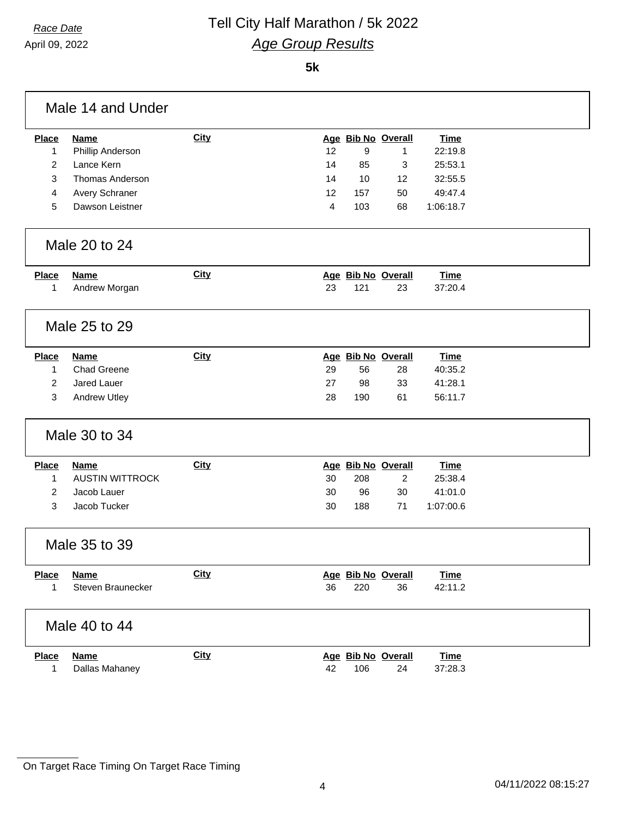## *Race Date* Tell City Half Marathon / 5k 2022 *Age Group Results*

April 09, 2022

**5k**

| Male 14 and Under |                        |             |    |     |                         |             |  |
|-------------------|------------------------|-------------|----|-----|-------------------------|-------------|--|
| <b>Place</b>      | <b>Name</b>            | <b>City</b> |    |     | Age Bib No Overall      | <b>Time</b> |  |
| $\mathbf{1}$      | Phillip Anderson       |             | 12 | 9   | 1                       | 22:19.8     |  |
| 2                 | Lance Kern             |             | 14 | 85  | 3                       | 25:53.1     |  |
| 3                 | <b>Thomas Anderson</b> |             | 14 | 10  | 12                      | 32:55.5     |  |
| 4                 | Avery Schraner         |             | 12 | 157 | 50                      | 49:47.4     |  |
| 5                 | Dawson Leistner        |             | 4  | 103 | 68                      | 1:06:18.7   |  |
|                   | Male 20 to 24          |             |    |     |                         |             |  |
| <b>Place</b>      | <b>Name</b>            | City        |    |     | Age Bib No Overall      | <b>Time</b> |  |
| 1                 | Andrew Morgan          |             | 23 | 121 | 23                      | 37:20.4     |  |
|                   |                        |             |    |     |                         |             |  |
|                   | Male 25 to 29          |             |    |     |                         |             |  |
| <b>Place</b>      | <b>Name</b>            | City        |    |     | Age Bib No Overall      | <b>Time</b> |  |
| $\mathbf{1}$      | <b>Chad Greene</b>     |             | 29 | 56  | 28                      | 40:35.2     |  |
| $\overline{c}$    | Jared Lauer            |             | 27 | 98  | 33                      | 41:28.1     |  |
| 3                 | <b>Andrew Utley</b>    |             | 28 | 190 | 61                      | 56:11.7     |  |
|                   | Male 30 to 34          |             |    |     |                         |             |  |
| <b>Place</b>      | <b>Name</b>            | City        |    |     | Age Bib No Overall      | <b>Time</b> |  |
| 1                 | <b>AUSTIN WITTROCK</b> |             | 30 | 208 | $\overline{\mathbf{c}}$ | 25:38.4     |  |
| $\overline{c}$    | Jacob Lauer            |             | 30 | 96  | 30                      | 41:01.0     |  |
| 3                 | Jacob Tucker           |             | 30 | 188 | 71                      | 1:07:00.6   |  |
|                   | Male 35 to 39          |             |    |     |                         |             |  |
| <b>Place</b>      | <b>Name</b>            | <b>City</b> |    |     | Age Bib No Overall      | <u>Time</u> |  |
| 1                 | Steven Braunecker      |             | 36 | 220 | 36                      | 42:11.2     |  |
|                   | Male 40 to 44          |             |    |     |                         |             |  |
| <b>Place</b>      | <b>Name</b>            | City        |    |     | Age Bib No Overall      | <b>Time</b> |  |
| 1                 | Dallas Mahaney         |             | 42 | 106 | 24                      | 37:28.3     |  |
|                   |                        |             |    |     |                         |             |  |

On Target Race Timing On Target Race Timing